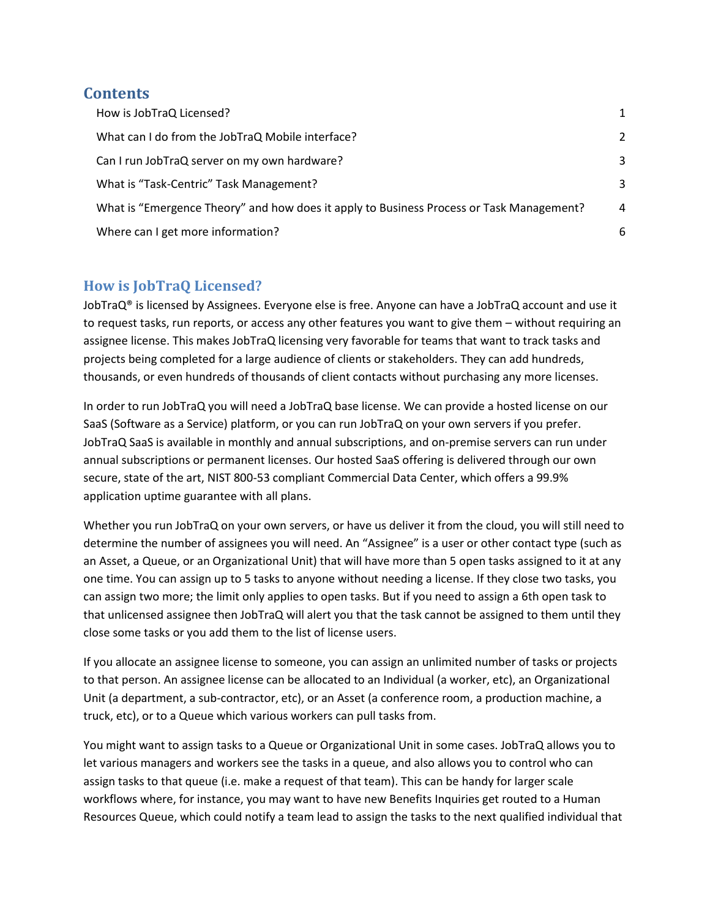## **Contents**

| How is JobTraQ Licensed?                                                                 | 1              |
|------------------------------------------------------------------------------------------|----------------|
| What can I do from the JobTraQ Mobile interface?                                         | 2              |
| Can I run JobTraQ server on my own hardware?                                             | 3              |
| What is "Task-Centric" Task Management?                                                  | 3              |
| What is "Emergence Theory" and how does it apply to Business Process or Task Management? | $\overline{4}$ |
| Where can I get more information?                                                        | 6              |

## <span id="page-0-0"></span>**How is JobTraQ Licensed?**

JobTraQ<sup>®</sup> is licensed by Assignees. Everyone else is free. Anyone can have a JobTraQ account and use it to request tasks, run reports, or access any other features you want to give them – without requiring an assignee license. This makes JobTraQ licensing very favorable for teams that want to track tasks and projects being completed for a large audience of clients or stakeholders. They can add hundreds, thousands, or even hundreds of thousands of client contacts without purchasing any more licenses.

In order to run JobTraQ you will need a JobTraQ base license. We can provide a hosted license on our SaaS (Software as a Service) platform, or you can run JobTraQ on your own servers if you prefer. JobTraQ SaaS is available in monthly and annual subscriptions, and on-premise servers can run under annual subscriptions or permanent licenses. Our hosted SaaS offering is delivered through our own secure, state of the art, NIST 800-53 compliant Commercial Data Center, which offers a 99.9% application uptime guarantee with all plans.

Whether you run JobTraQ on your own servers, or have us deliver it from the cloud, you will still need to determine the number of assignees you will need. An "Assignee" is a user or other contact type (such as an Asset, a Queue, or an Organizational Unit) that will have more than 5 open tasks assigned to it at any one time. You can assign up to 5 tasks to anyone without needing a license. If they close two tasks, you can assign two more; the limit only applies to open tasks. But if you need to assign a 6th open task to that unlicensed assignee then JobTraQ will alert you that the task cannot be assigned to them until they close some tasks or you add them to the list of license users.

If you allocate an assignee license to someone, you can assign an unlimited number of tasks or projects to that person. An assignee license can be allocated to an Individual (a worker, etc), an Organizational Unit (a department, a sub-contractor, etc), or an Asset (a conference room, a production machine, a truck, etc), or to a Queue which various workers can pull tasks from.

You might want to assign tasks to a Queue or Organizational Unit in some cases. JobTraQ allows you to let various managers and workers see the tasks in a queue, and also allows you to control who can assign tasks to that queue (i.e. make a request of that team). This can be handy for larger scale workflows where, for instance, you may want to have new Benefits Inquiries get routed to a Human Resources Queue, which could notify a team lead to assign the tasks to the next qualified individual that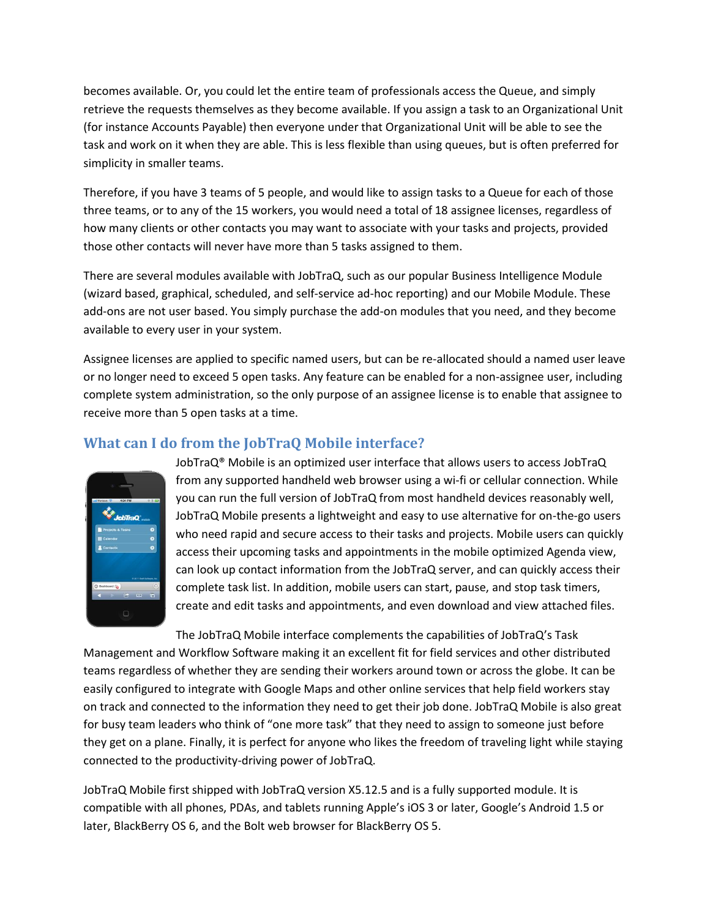becomes available. Or, you could let the entire team of professionals access the Queue, and simply retrieve the requests themselves as they become available. If you assign a task to an Organizational Unit (for instance Accounts Payable) then everyone under that Organizational Unit will be able to see the task and work on it when they are able. This is less flexible than using queues, but is often preferred for simplicity in smaller teams.

Therefore, if you have 3 teams of 5 people, and would like to assign tasks to a Queue for each of those three teams, or to any of the 15 workers, you would need a total of 18 assignee licenses, regardless of how many clients or other contacts you may want to associate with your tasks and projects, provided those other contacts will never have more than 5 tasks assigned to them.

There are several modules available with JobTraQ, such as our popular Business Intelligence Module (wizard based, graphical, scheduled, and self-service ad-hoc reporting) and our Mobile Module. These add-ons are not user based. You simply purchase the add-on modules that you need, and they become available to every user in your system.

Assignee licenses are applied to specific named users, but can be re-allocated should a named user leave or no longer need to exceed 5 open tasks. Any feature can be enabled for a non-assignee user, including complete system administration, so the only purpose of an assignee license is to enable that assignee to receive more than 5 open tasks at a time.

# <span id="page-1-0"></span>**What can I do from the JobTraQ Mobile interface?**



JobTraQ® Mobile is an optimized user interface that allows users to access JobTraQ from any supported handheld web browser using a wi-fi or cellular connection. While you can run the full version of JobTraQ from most handheld devices reasonably well, JobTraQ Mobile presents a lightweight and easy to use alternative for on-the-go users who need rapid and secure access to their tasks and projects. Mobile users can quickly access their upcoming tasks and appointments in the mobile optimized Agenda view, can look up contact information from the JobTraQ server, and can quickly access their complete task list. In addition, mobile users can start, pause, and stop task timers, create and edit tasks and appointments, and even download and view attached files.

The JobTraQ Mobile interface complements the capabilities of JobTraQ's Task Management and Workflow Software making it an excellent fit for field services and other distributed teams regardless of whether they are sending their workers around town or across the globe. It can be easily configured to integrate with Google Maps and other online services that help field workers stay on track and connected to the information they need to get their job done. JobTraQ Mobile is also great for busy team leaders who think of "one more task" that they need to assign to someone just before they get on a plane. Finally, it is perfect for anyone who likes the freedom of traveling light while staying connected to the productivity-driving power of JobTraQ.

JobTraQ Mobile first shipped with JobTraQ version X5.12.5 and is a fully supported module. It is compatible with all phones, PDAs, and tablets running Apple's iOS 3 or later, Google's Android 1.5 or later, BlackBerry OS 6, and the Bolt web browser for BlackBerry OS 5.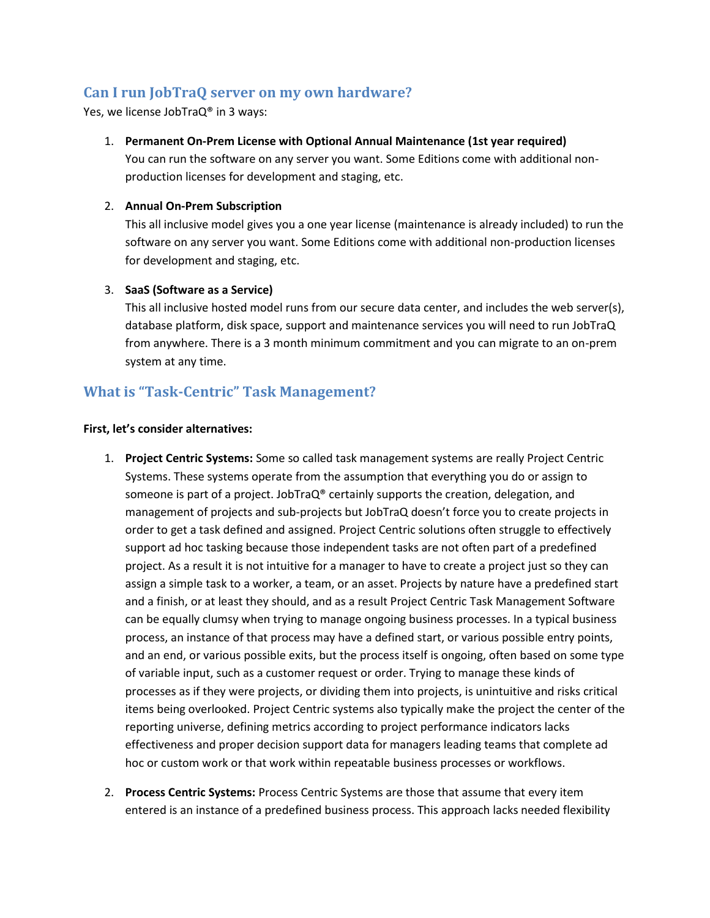## <span id="page-2-0"></span>**Can I run JobTraQ server on my own hardware?**

Yes, we license JobTraQ® in 3 ways:

#### 1. **Permanent On-Prem License with Optional Annual Maintenance (1st year required)**

You can run the software on any server you want. Some Editions come with additional nonproduction licenses for development and staging, etc.

#### 2. **Annual On-Prem Subscription**

This all inclusive model gives you a one year license (maintenance is already included) to run the software on any server you want. Some Editions come with additional non-production licenses for development and staging, etc.

#### 3. **SaaS (Software as a Service)**

This all inclusive hosted model runs from our secure data center, and includes the web server(s), database platform, disk space, support and maintenance services you will need to run JobTraQ from anywhere. There is a 3 month minimum commitment and you can migrate to an on-prem system at any time.

### <span id="page-2-1"></span>**What is "Task-Centric" Task Management?**

#### **First, let's consider alternatives:**

- 1. **Project Centric Systems:** Some so called task management systems are really Project Centric Systems. These systems operate from the assumption that everything you do or assign to someone is part of a project. JobTraQ® certainly supports the creation, delegation, and management of projects and sub-projects but JobTraQ doesn't force you to create projects in order to get a task defined and assigned. Project Centric solutions often struggle to effectively support ad hoc tasking because those independent tasks are not often part of a predefined project. As a result it is not intuitive for a manager to have to create a project just so they can assign a simple task to a worker, a team, or an asset. Projects by nature have a predefined start and a finish, or at least they should, and as a result Project Centric Task Management Software can be equally clumsy when trying to manage ongoing business processes. In a typical business process, an instance of that process may have a defined start, or various possible entry points, and an end, or various possible exits, but the process itself is ongoing, often based on some type of variable input, such as a customer request or order. Trying to manage these kinds of processes as if they were projects, or dividing them into projects, is unintuitive and risks critical items being overlooked. Project Centric systems also typically make the project the center of the reporting universe, defining metrics according to project performance indicators lacks effectiveness and proper decision support data for managers leading teams that complete ad hoc or custom work or that work within repeatable business processes or workflows.
- 2. **Process Centric Systems:** Process Centric Systems are those that assume that every item entered is an instance of a predefined business process. This approach lacks needed flexibility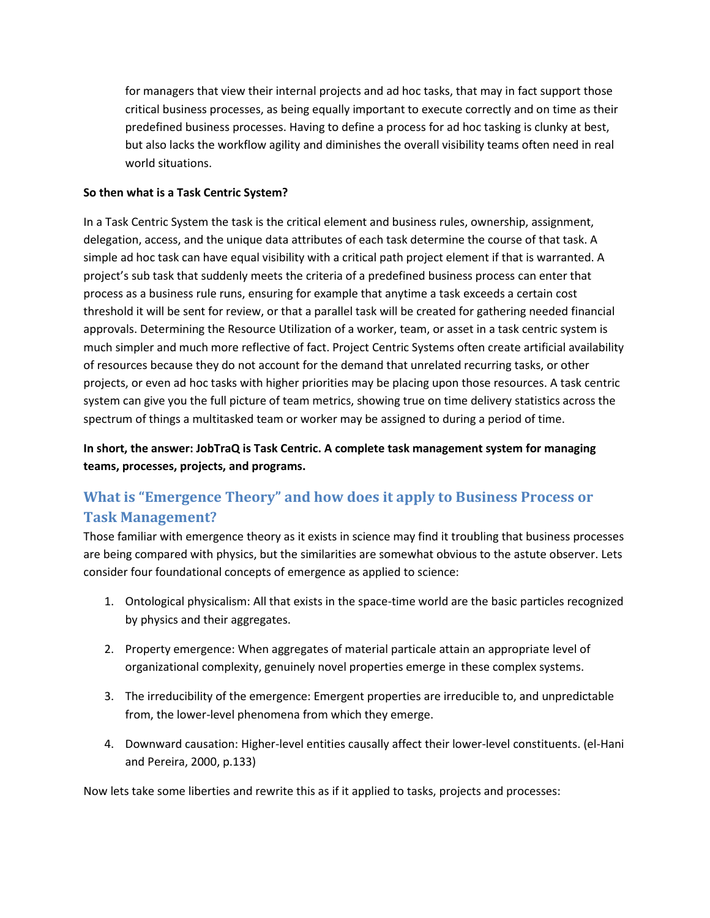for managers that view their internal projects and ad hoc tasks, that may in fact support those critical business processes, as being equally important to execute correctly and on time as their predefined business processes. Having to define a process for ad hoc tasking is clunky at best, but also lacks the workflow agility and diminishes the overall visibility teams often need in real world situations.

#### **So then what is a Task Centric System?**

In a Task Centric System the task is the critical element and business rules, ownership, assignment, delegation, access, and the unique data attributes of each task determine the course of that task. A simple ad hoc task can have equal visibility with a critical path project element if that is warranted. A project's sub task that suddenly meets the criteria of a predefined business process can enter that process as a business rule runs, ensuring for example that anytime a task exceeds a certain cost threshold it will be sent for review, or that a parallel task will be created for gathering needed financial approvals. Determining the Resource Utilization of a worker, team, or asset in a task centric system is much simpler and much more reflective of fact. Project Centric Systems often create artificial availability of resources because they do not account for the demand that unrelated recurring tasks, or other projects, or even ad hoc tasks with higher priorities may be placing upon those resources. A task centric system can give you the full picture of team metrics, showing true on time delivery statistics across the spectrum of things a multitasked team or worker may be assigned to during a period of time.

**In short, the answer: JobTraQ is Task Centric. A complete task management system for managing teams, processes, projects, and programs.**

# <span id="page-3-0"></span>**What is "Emergence Theory" and how does it apply to Business Process or Task Management?**

Those familiar with emergence theory as it exists in science may find it troubling that business processes are being compared with physics, but the similarities are somewhat obvious to the astute observer. Lets consider four foundational concepts of emergence as applied to science:

- 1. Ontological physicalism: All that exists in the space-time world are the basic particles recognized by physics and their aggregates.
- 2. Property emergence: When aggregates of material particale attain an appropriate level of organizational complexity, genuinely novel properties emerge in these complex systems.
- 3. The irreducibility of the emergence: Emergent properties are irreducible to, and unpredictable from, the lower-level phenomena from which they emerge.
- 4. Downward causation: Higher-level entities causally affect their lower-level constituents. (el-Hani and Pereira, 2000, p.133)

Now lets take some liberties and rewrite this as if it applied to tasks, projects and processes: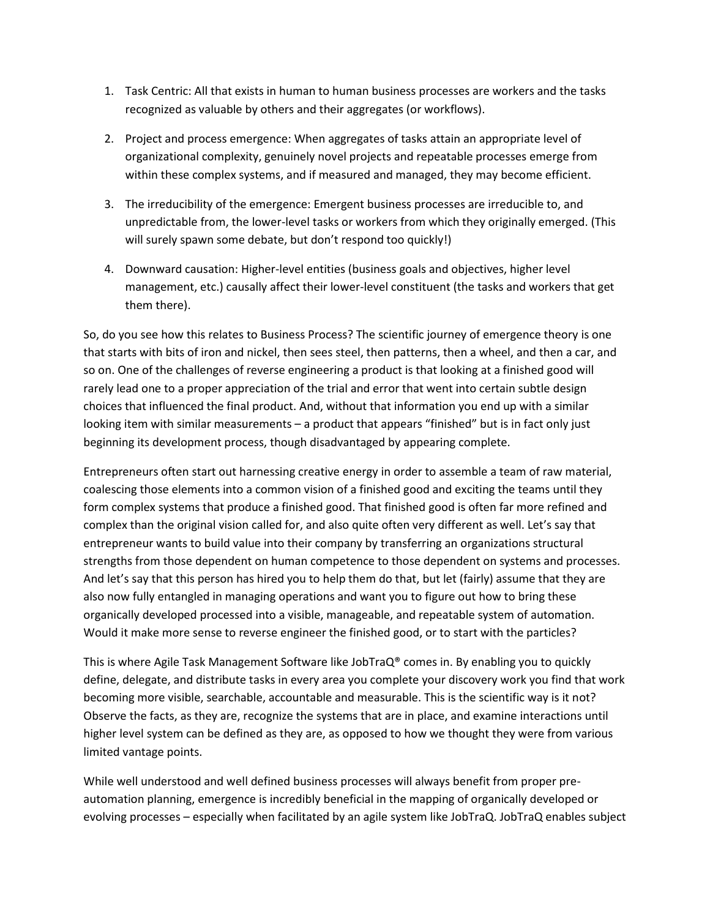- 1. Task Centric: All that exists in human to human business processes are workers and the tasks recognized as valuable by others and their aggregates (or workflows).
- 2. Project and process emergence: When aggregates of tasks attain an appropriate level of organizational complexity, genuinely novel projects and repeatable processes emerge from within these complex systems, and if measured and managed, they may become efficient.
- 3. The irreducibility of the emergence: Emergent business processes are irreducible to, and unpredictable from, the lower-level tasks or workers from which they originally emerged. (This will surely spawn some debate, but don't respond too quickly!)
- 4. Downward causation: Higher-level entities (business goals and objectives, higher level management, etc.) causally affect their lower-level constituent (the tasks and workers that get them there).

So, do you see how this relates to Business Process? The scientific journey of emergence theory is one that starts with bits of iron and nickel, then sees steel, then patterns, then a wheel, and then a car, and so on. One of the challenges of reverse engineering a product is that looking at a finished good will rarely lead one to a proper appreciation of the trial and error that went into certain subtle design choices that influenced the final product. And, without that information you end up with a similar looking item with similar measurements – a product that appears "finished" but is in fact only just beginning its development process, though disadvantaged by appearing complete.

Entrepreneurs often start out harnessing creative energy in order to assemble a team of raw material, coalescing those elements into a common vision of a finished good and exciting the teams until they form complex systems that produce a finished good. That finished good is often far more refined and complex than the original vision called for, and also quite often very different as well. Let's say that entrepreneur wants to build value into their company by transferring an organizations structural strengths from those dependent on human competence to those dependent on systems and processes. And let's say that this person has hired you to help them do that, but let (fairly) assume that they are also now fully entangled in managing operations and want you to figure out how to bring these organically developed processed into a visible, manageable, and repeatable system of automation. Would it make more sense to reverse engineer the finished good, or to start with the particles?

This is where Agile Task Management Software like JobTraQ® comes in. By enabling you to quickly define, delegate, and distribute tasks in every area you complete your discovery work you find that work becoming more visible, searchable, accountable and measurable. This is the scientific way is it not? Observe the facts, as they are, recognize the systems that are in place, and examine interactions until higher level system can be defined as they are, as opposed to how we thought they were from various limited vantage points.

While well understood and well defined business processes will always benefit from proper preautomation planning, emergence is incredibly beneficial in the mapping of organically developed or evolving processes – especially when facilitated by an agile system like JobTraQ. JobTraQ enables subject